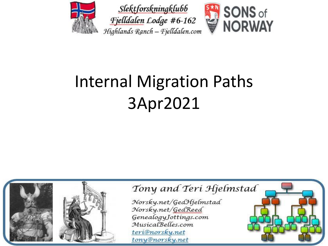



#### SONS of **NORWAY**

## Internal Migration Paths 3Apr2021

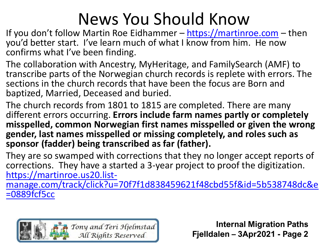### News You Should Know

If you don't follow Martin Roe Eidhammer - [https://martinroe.com](https://martinroe.com/) - then you'd better start. I've learn much of what I know from him. He now confirms what I've been finding.

The collaboration with Ancestry, MyHeritage, and FamilySearch (AMF) to transcribe parts of the Norwegian church records is replete with errors. The sections in the church records that have been the focus are Born and baptized, Married, Deceased and buried.

The church records from 1801 to 1815 are completed. There are many different errors occurring. **Errors include farm names partly or completely misspelled, common Norwegian first names misspelled or given the wrong gender, last names misspelled or missing completely, and roles such as sponsor (fadder) being transcribed as far (father).**

They are so swamped with corrections that they no longer accept reports of corrections. They have a started a 3-year project to proof the digitization. https://martinroe.us20.list-

[manage.com/track/click?u=70f7f1d838459621f48cbd55f&id=5b538748dc&e](https://martinroe.us20.list-manage.com/track/click?u=70f7f1d838459621f48cbd55f&id=5b538748dc&e=0889fcf5cc) =0889fcf5cc

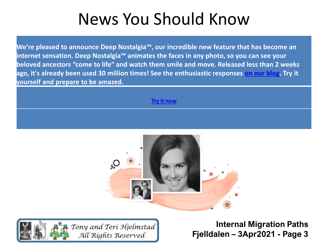### News You Should Know

**We're pleased to announce Deep Nostalgia™, our incredible new feature that has become an internet sensation. Deep Nostalgia™ animates the faces in any photo, so you can see your beloved ancestors "come to life" and watch them smile and move. Released less than 2 weeks ago, it's already been used 30 million times! See the enthusiastic responses [on our blog](https://www.myheritage.com/FP/o.php?type=click&mailingid=404858&tr_date=20210309&serial=announce-2103090025b7ece55f92015fcef6e791&account=620418101&sig=a7c9e3020a727b75e061ecaa085a2d4fc8fe8229e64d70e12798418fae323b3d&extra=001&linkid=&redirecturl=https%3A%2F%2Fblog.myheritage.com%2F2021%2F03%2F26-million-animations-created-with-deep-nostalgia%2F%3Futm_source%3Demail%26utm_medium%3Ddeep_nostalgia_03_2021%26utm_campaign%3D404848%26utm_content%3Dbucket1%26utm_term%3Dreadmore). Try it yourself and prepare to be amazed.** 

**[Try it now](https://www.myheritage.com/FP/o.php?type=click&mailingid=404858&tr_date=20210309&serial=announce-2103090025b7ece55f92015fcef6e791&account=620418101&sig=a01f607673b25599e3753ed7bb3a75ec36b7cdf528868fbb158abaa64431299b&extra=002&linkid=&redirecturl=https%3A%2F%2Fwww.myheritage.com%2Fdeep-nostalgia%3Futm_source%3Demail%26utm_medium%3Ddeep_nostalgia_03_2021%26utm_campaign%3D404848%26utm_content%3Dbucket1%26utm_term%3Denhancer)**



Tony and Teri Hjelmstad All Rights Reserved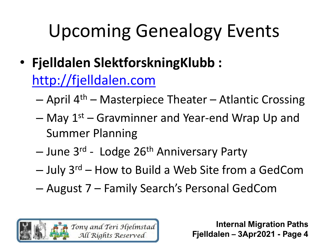- **Fjelldalen SlektforskningKlubb :**  [http://fjelldalen.com](http://fjelldalen.com/)
	- $-$  April 4<sup>th</sup> Masterpiece Theater Atlantic Crossing
	- May 1st Gravminner and Year-end Wrap Up and Summer Planning
	- June 3<sup>rd</sup> Lodge 26<sup>th</sup> Anniversary Party
	- $-$  July 3<sup>rd</sup> How to Build a Web Site from a GedCom
	- August 7 Family Search's Personal GedCom

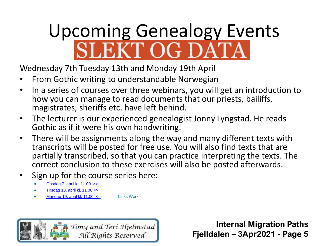# Upcoming Genealogy Events<br>SLEKT OG DATA

Wednesday 7th Tuesday 13th and Monday 19th April

- From Gothic writing to understandable Norwegian
- In a series of courses over three webinars, you will get an introduction to how you can manage to read documents that our priests, bailiffs, magistrates, sheriffs etc. have left behind.
- The lecturer is our experienced genealogist Jonny Lyngstad. He reads Gothic as if it were his own handwriting.
- There will be assignments along the way and many different texts with transcripts will be posted for free use. You will also find texts that are partially transcribed, so that you can practice interpreting the texts. The correct conclusion to these exercises will also be posted afterwards.
- Sign up for the course series here:
	- Onsdag 7. april [kl. 11.00](https://slektogdata.us16.list-manage.com/track/click?u=7bb837925fc808fa53dde8743&id=3a2be53095&e=5ee01348dd) >>
	- Tirsdag 13. april [kl. 11.00 >>](https://slektogdata.us16.list-manage.com/track/click?u=7bb837925fc808fa53dde8743&id=3c9030490e&e=5ee01348dd)
	- Mandag 19. april [kl. 11.00 >>](https://slektogdata.us16.list-manage.com/track/click?u=7bb837925fc808fa53dde8743&id=1765bc4a16&e=5ee01348dd) Links Work

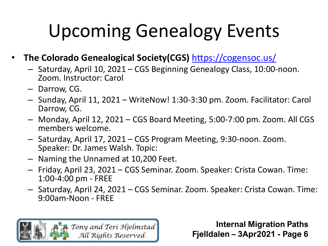- **The Colorado Genealogical Society(CGS)** <https://cogensoc.us/>
	- Saturday, April 10, 2021 CGS Beginning Genealogy Class, 10:00-noon. Zoom. Instructor: Carol
	- Darrow, CG.
	- Sunday, April 11, 2021 WriteNow! 1:30-3:30 pm. Zoom. Facilitator: Carol Darrow, CG.
	- Monday, April 12, 2021 CGS Board Meeting, 5:00-7:00 pm. Zoom. All CGS members welcome.
	- Saturday, April 17, 2021 CGS Program Meeting, 9:30-noon. Zoom. Speaker: Dr. James Walsh. Topic:
	- Naming the Unnamed at 10,200 Feet.
	- Friday, April 23, 2021 CGS Seminar. Zoom. Speaker: Crista Cowan. Time: 1:00-4:00 pm - FREE
	- Saturday, April 24, 2021 CGS Seminar. Zoom. Speaker: Crista Cowan. Time: 9:00am-Noon - FREE

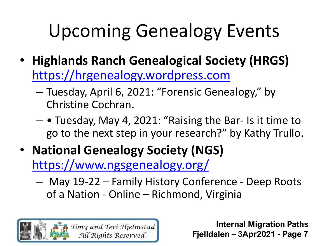- **Highlands Ranch Genealogical Society (HRGS)**  [https://hrgenealogy.wordpress.com](https://hrgenealogy.wordpress.com/)
	- Tuesday, April 6, 2021: "Forensic Genealogy," by Christine Cochran.
	- • Tuesday, May 4, 2021: "Raising the Bar- Is it time to go to the next step in your research?" by Kathy Trullo.
- **National Genealogy Society (NGS)**  <https://www.ngsgenealogy.org/>
	- May 19-22 Family History Conference Deep Roots of a Nation - Online – Richmond, Virginia

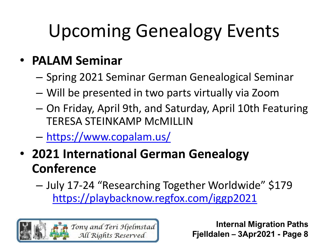#### • **PALAM Seminar**

- Spring 2021 Seminar German Genealogical Seminar
- Will be presented in two parts virtually via Zoom
- On Friday, April 9th, and Saturday, April 10th Featuring TERESA STEINKAMP McMILLIN
- <https://www.copalam.us/>
- **2021 International German Genealogy Conference**
	- July 17-24 "Researching Together Worldwide" \$179 <https://playbacknow.regfox.com/iggp2021>

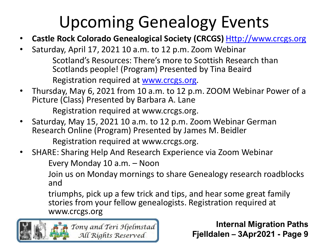- **Castle Rock Colorado Genealogical Society (CRCGS)** [Http://www.crcgs.org](http://www.crcgs.org/)
- Saturday, April 17, 2021 10 a.m. to 12 p.m. Zoom Webinar Scotland's Resources: There's more to Scottish Research than Scotlands people! (Program) Presented by Tina Beaird Registration required at [www.crcgs.org](http://www.crcgs.org/).
- Thursday, May 6, 2021 from 10 a.m. to 12 p.m. ZOOM Webinar Power of a Picture (Class) Presented by Barbara A. Lane

Registration required at www.crcgs.org.

• Saturday, May 15, 2021 10 a.m. to 12 p.m. Zoom Webinar German Research Online (Program) Presented by James M. Beidler

Registration required at www.crcgs.org.

• SHARE: Sharing Help And Research Experience via Zoom Webinar

Every Monday 10 a.m. – Noon

Join us on Monday mornings to share Genealogy research roadblocks and

triumphs, pick up a few trick and tips, and hear some great family stories from your fellow genealogists. Registration required at www.crcgs.org

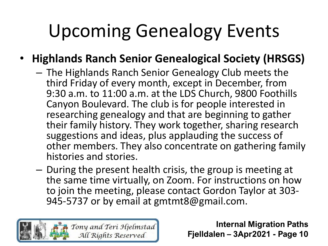#### • **Highlands Ranch Senior Genealogical Society (HRSGS)**

- The Highlands Ranch Senior Genealogy Club meets the third Friday of every month, except in December, from 9:30 a.m. to 11:00 a.m. at the LDS Church, 9800 Foothills Canyon Boulevard. The club is for people interested in researching genealogy and that are beginning to gather their family history. They work together, sharing research suggestions and ideas, plus applauding the success of other members. They also concentrate on gathering family histories and stories.
- During the present health crisis, the group is meeting at the same time virtually, on Zoom. For instructions on how to join the meeting, please contact Gordon Taylor at 303- 945-5737 or by email at gmtmt8@gmail.com.

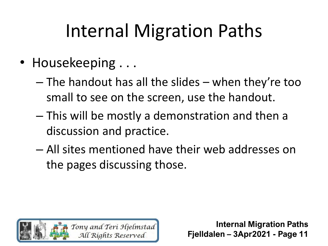- Housekeeping ...
	- The handout has all the slides when they're too small to see on the screen, use the handout.
	- This will be mostly a demonstration and then a discussion and practice.
	- All sites mentioned have their web addresses on the pages discussing those.

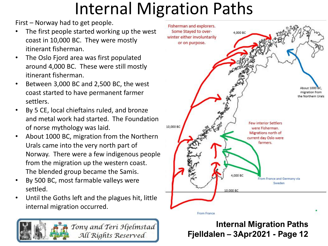First – Norway had to get people.

- The first people started working up the west coast in 10,000 BC. They were mostly itinerant fisherman.
- The Oslo Fjord area was first populated around 4,000 BC. These were still mostly itinerant fisherman.
- Between 3,000 BC and 2,500 BC, the west coast started to have permanent farmer settlers.
- By 5 CE, local chieftains ruled, and bronze and metal work had started. The Foundation of norse mythology was laid.
- About 1000 BC, migration from the Northern Urals came into the very north part of Norway. There were a few indigenous people from the migration up the western coast. The blended group became the Samis.
- By 500 BC, most farmable valleys were settled.
- Until the Goths left and the plagues hit, little internal migration occurred.



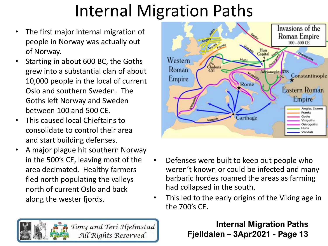- The first major internal migration of people in Norway was actually out of Norway.
- Starting in about 600 BC, the Goths grew into a substantial clan of about 10,000 people in the local of current Oslo and southern Sweden. The Goths left Norway and Sweden between 100 and 500 CE.
- This caused local Chieftains to consolidate to control their area and start building defenses.
- A major plague hit southern Norway in the 500's CE, leaving most of the area decimated. Healthy farmers fled north populating the valleys north of current Oslo and back along the wester fjords.



- Defenses were built to keep out people who weren't known or could be infected and many barbaric hordes roamed the areas as farming had collapsed in the south.
- This led to the early origins of the Viking age in the 700's CE.

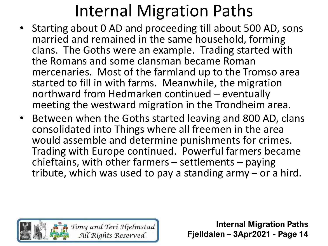- Starting about 0 AD and proceeding till about 500 AD, sons married and remained in the same household, forming clans. The Goths were an example. Trading started with the Romans and some clansman became Roman mercenaries. Most of the farmland up to the Tromso area started to fill in with farms. Meanwhile, the migration northward from Hedmarken continued – eventually meeting the westward migration in the Trondheim area.
- Between when the Goths started leaving and 800 AD, clans consolidated into Things where all freemen in the area would assemble and determine punishments for crimes. Trading with Europe continued. Powerful farmers became chieftains, with other farmers – settlements – paying tribute, which was used to pay a standing army – or a hird.

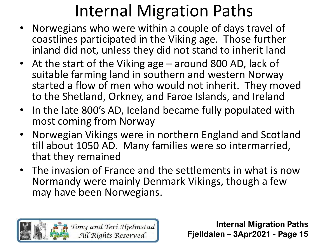- Norwegians who were within a couple of days travel of coastlines participated in the Viking age. Those further inland did not, unless they did not stand to inherit land
- At the start of the Viking age around 800 AD, lack of suitable farming land in southern and western Norway started a flow of men who would not inherit. They moved to the Shetland, Orkney, and Faroe Islands, and Ireland
- In the late 800's AD, Iceland became fully populated with most coming from Norway
- Norwegian Vikings were in northern England and Scotland till about 1050 AD. Many families were so intermarried, that they remained
- The invasion of France and the settlements in what is now Normandy were mainly Denmark Vikings, though a few may have been Norwegians.

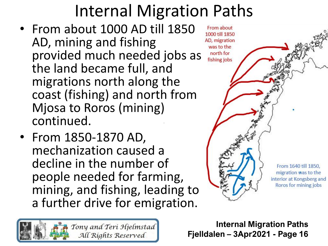- From about 1000 AD till 1850 AD, mining and fishing provided much needed jobs as the land became full, and migrations north along the coast (fishing) and north from Mjosa to Roros (mining) continued.
- From 1850-1870 AD, mechanization caused a decline in the number of people needed for farming, mining, and fishing, leading to a further drive for emigration.



**Internal Migration Paths Fjelldalen – 3Apr2021 - Page 16**

From about 1000 till 1850 AD, migration was to the north for fishing jobs From 1640 till 1850. migration was to the interior at Kongsberg and Roros for mining jobs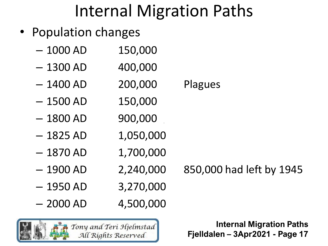- Population changes
	- $-1000$  AD  $150,000$
	- $-1300$  AD  $400,000$
	- 1400 AD 200,000 Plagues
	- $-1500$  AD  $150,000$
	- $-1800$  AD 900,000
	- $-1825$  AD  $1,050,000$
	- $-1870$  AD  $1,700,000$
	- 1900 AD 2,240,000 850,000 had left by 1945
	- $-1950$  AD  $3,270,000$
	- $-2000$  AD  $4,500,000$
	- Tony and Teri Hjelmstad All Rights Reserved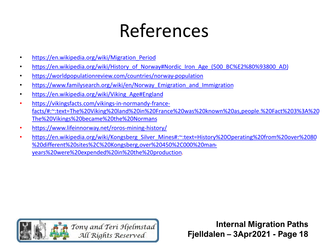# References

- https://en.wikipedia.org/wiki/Migration Period
- [https://en.wikipedia.org/wiki/History\\_of\\_Norway#Nordic\\_Iron\\_Age\\_\(500\\_BC%E2%80%93800\\_AD\)](https://en.wikipedia.org/wiki/History_of_NorwayNordic_Iron_Age_(500_BC%E2%80%93800_AD))
- <https://worldpopulationreview.com/countries/norway-population>
- https://www.familysearch.org/wiki/en/Norway Emigration and Immigration
- [https://en.wikipedia.org/wiki/Viking\\_Age#England](https://en.wikipedia.org/wiki/Viking_Age#England)
- https://vikingsfacts.com/vikings-in-normandy-france[facts/#:~:text=The%20Viking%20land%20in%20France%20was%20known%20as,people.%20Fact%203%3A%20](https://vikingsfacts.com/vikings-in-normandy-france-facts/#:~:text=The%20Viking%20land%20in%20France%20was%20known%20as,people.%20Fact%203%3A%20The%20Vikings%20became%20the%20Normans) The%20Vikings%20became%20the%20Normans
- <https://www.lifeinnorway.net/roros-mining-history/>
- [https://en.wikipedia.org/wiki/Kongsberg\\_Silver\\_Mines#:~:text=History%20Operating%20from%20over%2080](https://en.wikipedia.org/wiki/Kongsberg_Silver_Mines#:~:text=History%20Operating%20from%20over%2080%20different%20sites%2C%20Kongsberg,over%20450%2C000%20man-years%20were%20expended%20in%20the%20production) %20different%20sites%2C%20Kongsberg,over%20450%2C000%20manyears%20were%20expended%20in%20the%20production.